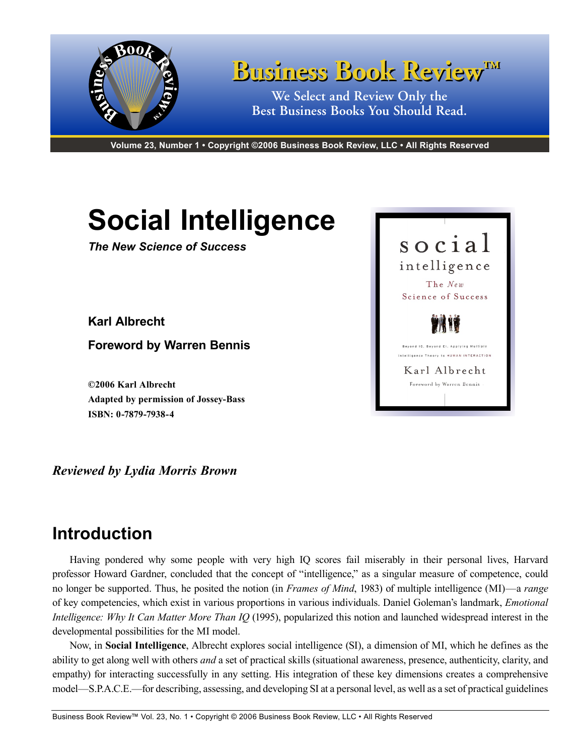

**Volume 23, Number 1 • Copyright ©2006 Business Book Review, LLC • All Rights Reserved**

# **Social Intelligence**

*The New Science of Success*

**Karl Albrecht**

**Foreword by Warren Bennis**

**©2006 Karl Albrecht Adapted by permission of Jossey-Bass ISBN: 0-7879-7938-4**

*Reviewed by Lydia Morris Brown*

# **Introduction**

Having pondered why some people with very high IQ scores fail miserably in their personal lives, Harvard professor Howard Gardner, concluded that the concept of "intelligence," as a singular measure of competence, could no longer be supported. Thus, he posited the notion (in *Frames of Mind*, 1983) of multiple intelligence (MI)—a *range*  of key competencies, which exist in various proportions in various individuals. Daniel Goleman's landmark, *Emotional Intelligence: Why It Can Matter More Than IQ* (1995), popularized this notion and launched widespread interest in the developmental possibilities for the MI model.

Now, in **Social Intelligence**, Albrecht explores social intelligence (SI), a dimension of MI, which he defines as the ability to get along well with others *and* a set of practical skills (situational awareness, presence, authenticity, clarity, and empathy) for interacting successfully in any setting. His integration of these key dimensions creates a comprehensive model—S.P.A.C.E.—for describing, assessing, and developing SI at a personal level, as well as a set of practical guidelines

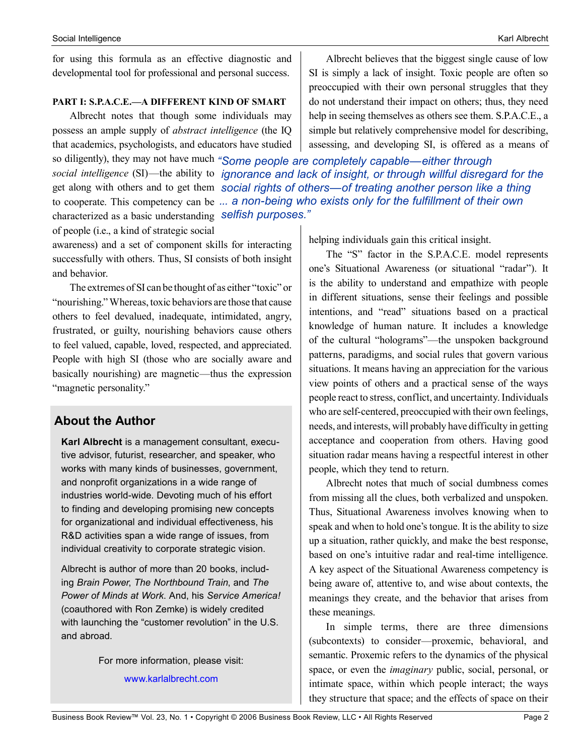for using this formula as an effective diagnostic and developmental tool for professional and personal success.

#### **PART I: S.P.A.C.E.—A DIFFERENT KIND OF SMART**

Albrecht notes that though some individuals may possess an ample supply of *abstract intelligence* (the IQ that academics, psychologists, and educators have studied

so diligently), they may not have much *"Some people are completely capable—either through social intelligence* (SI)—the ability to *ignorance and lack of insight, or through willful disregard for the*  get along with others and to get them social rights of others—of treating another person like a thing to cooperate. This competency can be *... a non-being who exists only for the fulfillment of their own*  characterized as a basic understanding *selfish purposes."*of people (i.e., a kind of strategic social

awareness) and a set of component skills for interacting successfully with others. Thus, SI consists of both insight and behavior.

The extremes of SI can be thought of as either "toxic" or "nourishing." Whereas, toxic behaviors are those that cause others to feel devalued, inadequate, intimidated, angry, frustrated, or guilty, nourishing behaviors cause others to feel valued, capable, loved, respected, and appreciated. People with high SI (those who are socially aware and basically nourishing) are magnetic—thus the expression "magnetic personality."

# **About the Author**

**Karl Albrecht** is a management consultant, executive advisor, futurist, researcher, and speaker, who works with many kinds of businesses, government, and nonprofit organizations in a wide range of industries world-wide. Devoting much of his effort to finding and developing promising new concepts for organizational and individual effectiveness, his R&D activities span a wide range of issues, from individual creativity to corporate strategic vision.

Albrecht is author of more than 20 books, including *Brain Power*, *The Northbound Train*, and *The Power of Minds at Work*. And, his *Service America!* (coauthored with Ron Zemke) is widely credited with launching the "customer revolution" in the U.S. and abroad.

> For more information, please visit: <www.karlalbrecht.com>

Albrecht believes that the biggest single cause of low SI is simply a lack of insight. Toxic people are often so preoccupied with their own personal struggles that they do not understand their impact on others; thus, they need help in seeing themselves as others see them. S.P.A.C.E., a simple but relatively comprehensive model for describing, assessing, and developing SI, is offered as a means of

helping individuals gain this critical insight.

The "S" factor in the S.P.A.C.E. model represents one's Situational Awareness (or situational "radar"). It is the ability to understand and empathize with people in different situations, sense their feelings and possible intentions, and "read" situations based on a practical knowledge of human nature. It includes a knowledge of the cultural "holograms"—the unspoken background patterns, paradigms, and social rules that govern various situations. It means having an appreciation for the various view points of others and a practical sense of the ways people react to stress, conflict, and uncertainty. Individuals who are self-centered, preoccupied with their own feelings, needs, and interests, will probably have difficulty in getting acceptance and cooperation from others. Having good situation radar means having a respectful interest in other people, which they tend to return.

Albrecht notes that much of social dumbness comes from missing all the clues, both verbalized and unspoken. Thus, Situational Awareness involves knowing when to speak and when to hold one's tongue. It is the ability to size up a situation, rather quickly, and make the best response, based on one's intuitive radar and real-time intelligence. A key aspect of the Situational Awareness competency is being aware of, attentive to, and wise about contexts, the meanings they create, and the behavior that arises from these meanings.

In simple terms, there are three dimensions (subcontexts) to consider—proxemic, behavioral, and semantic. Proxemic refers to the dynamics of the physical space, or even the *imaginary* public, social, personal, or intimate space, within which people interact; the ways they structure that space; and the effects of space on their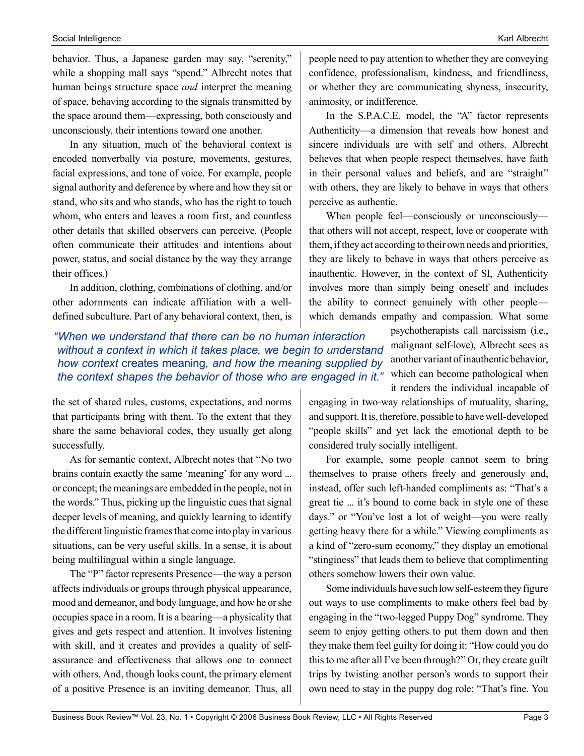#### Social Intelligence Karl Albrecht National Social Intelligence Karl Albrecht National Social Intelligence Karl Albrecht National Social Intelligence Karl Albrecht National Social Intelligence Karl Albrecht National Social

behavior. Thus, a Japanese garden may say, "serenity," while a shopping mall says "spend." Albrecht notes that human beings structure space *and* interpret the meaning of space, behaving according to the signals transmitted by the space around them—expressing, both consciously and unconsciously, their intentions toward one another.

In any situation, much of the behavioral context is encoded nonverbally via posture, movements, gestures, facial expressions, and tone of voice. For example, people signal authority and deference by where and how they sit or stand, who sits and who stands, who has the right to touch whom, who enters and leaves a room first, and countless other details that skilled observers can perceive. (People often communicate their attitudes and intentions about power, status, and social distance by the way they arrange their offices.)

In addition, clothing, combinations of clothing, and/or other adornments can indicate affiliation with a welldefined subculture. Part of any behavioral context, then, is

## *"When we understand that there can be no human interaction without a context in which it takes place, we begin to understand how context* creates meaning*, and how the meaning supplied by the context shapes the behavior of those who are engaged in it."*

the set of shared rules, customs, expectations, and norms that participants bring with them. To the extent that they share the same behavioral codes, they usually get along successfully.

As for semantic context, Albrecht notes that "No two brains contain exactly the same 'meaning' for any word ... or concept; the meanings are embedded in the people, not in the words." Thus, picking up the linguistic cues that signal deeper levels of meaning, and quickly learning to identify the different linguistic frames that come into play in various situations, can be very useful skills. In a sense, it is about being multilingual within a single language.

The "P" factor represents Presence—the way a person affects individuals or groups through physical appearance, mood and demeanor, and body language, and how he or she occupies space in a room. It is a bearing—a physicality that gives and gets respect and attention. It involves listening with skill, and it creates and provides a quality of selfassurance and effectiveness that allows one to connect with others. And, though looks count, the primary element of a positive Presence is an inviting demeanor. Thus, all

people need to pay attention to whether they are conveying confidence, professionalism, kindness, and friendliness, or whether they are communicating shyness, insecurity, animosity, or indifference.

In the S.P.A.C.E. model, the "A" factor represents Authenticity—a dimension that reveals how honest and sincere individuals are with self and others. Albrecht believes that when people respect themselves, have faith in their personal values and beliefs, and are "straight" with others, they are likely to behave in ways that others perceive as authentic.

When people feel—consciously or unconsciously that others will not accept, respect, love or cooperate with them, if they act according to their own needs and priorities, they are likely to behave in ways that others perceive as inauthentic. However, in the context of SI, Authenticity involves more than simply being oneself and includes the ability to connect genuinely with other people which demands empathy and compassion. What some

> psychotherapists call narcissism (i.e., malignant self-love), Albrecht sees as another variant of inauthentic behavior, which can become pathological when it renders the individual incapable of

engaging in two-way relationships of mutuality, sharing, and support. It is, therefore, possible to have well-developed "people skills" and yet lack the emotional depth to be considered truly socially intelligent.

For example, some people cannot seem to bring themselves to praise others freely and generously and, instead, offer such left-handed compliments as: "That's a great tie ... it's bound to come back in style one of these days." or "You've lost a lot of weight—you were really getting heavy there for a while." Viewing compliments as a kind of "zero-sum economy," they display an emotional "stinginess" that leads them to believe that complimenting others somehow lowers their own value.

Some individuals have such low self-esteem they figure out ways to use compliments to make others feel bad by engaging in the "two-legged Puppy Dog" syndrome. They seem to enjoy getting others to put them down and then they make them feel guilty for doing it: "How could you do this to me after all I've been through?" Or, they create guilt trips by twisting another person's words to support their own need to stay in the puppy dog role: "That's fine. You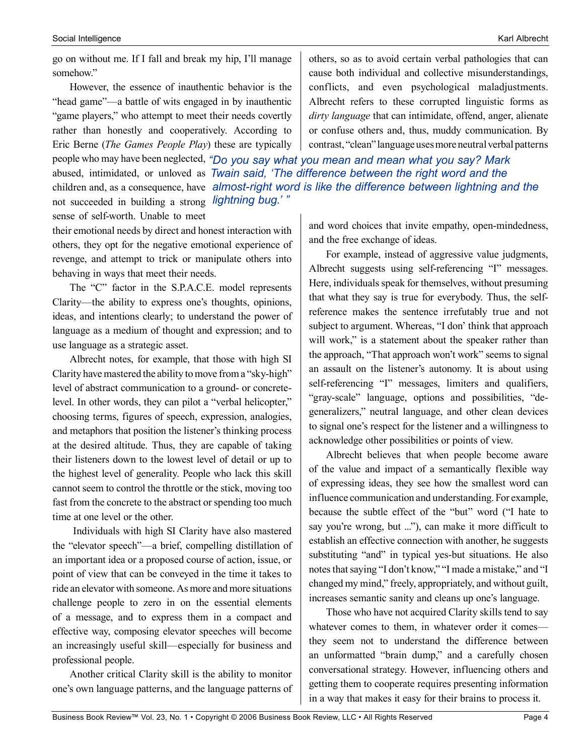go on without me. If I fall and break my hip, I'll manage somehow."

However, the essence of inauthentic behavior is the "head game"—a battle of wits engaged in by inauthentic "game players," who attempt to meet their needs covertly rather than honestly and cooperatively. According to Eric Berne (*The Games People Play*) these are typically

people who may have been neglected, *"Do you say what you mean and mean what you say? Mark*  abused, intimidated, or unloved as *Twain said, 'The difference between the right word and the*  children and, as a consequence, have *almost-right word is like the difference between lightning and the*  not succeeded in building a strong *lightning bug.' "*sense of self-worth. Unable to meet

their emotional needs by direct and honest interaction with others, they opt for the negative emotional experience of revenge, and attempt to trick or manipulate others into behaving in ways that meet their needs.

The "C" factor in the S.P.A.C.E. model represents Clarity—the ability to express one's thoughts, opinions, ideas, and intentions clearly; to understand the power of language as a medium of thought and expression; and to use language as a strategic asset.

Albrecht notes, for example, that those with high SI Clarity have mastered the ability to move from a "sky-high" level of abstract communication to a ground- or concretelevel. In other words, they can pilot a "verbal helicopter," choosing terms, figures of speech, expression, analogies, and metaphors that position the listener's thinking process at the desired altitude. Thus, they are capable of taking their listeners down to the lowest level of detail or up to the highest level of generality. People who lack this skill cannot seem to control the throttle or the stick, moving too fast from the concrete to the abstract or spending too much time at one level or the other.

 Individuals with high SI Clarity have also mastered the "elevator speech"—a brief, compelling distillation of an important idea or a proposed course of action, issue, or point of view that can be conveyed in the time it takes to ride an elevator with someone. As more and more situations challenge people to zero in on the essential elements of a message, and to express them in a compact and effective way, composing elevator speeches will become an increasingly useful skill—especially for business and professional people.

Another critical Clarity skill is the ability to monitor one's own language patterns, and the language patterns of

others, so as to avoid certain verbal pathologies that can cause both individual and collective misunderstandings, conflicts, and even psychological maladjustments. Albrecht refers to these corrupted linguistic forms as *dirty language* that can intimidate, offend, anger, alienate or confuse others and, thus, muddy communication. By contrast, "clean" language uses more neutral verbal patterns

and word choices that invite empathy, open-mindedness, and the free exchange of ideas.

For example, instead of aggressive value judgments, Albrecht suggests using self-referencing "I" messages. Here, individuals speak for themselves, without presuming that what they say is true for everybody. Thus, the selfreference makes the sentence irrefutably true and not subject to argument. Whereas, "I don' think that approach will work," is a statement about the speaker rather than the approach, "That approach won't work" seems to signal an assault on the listener's autonomy. It is about using self-referencing "I" messages, limiters and qualifiers, "gray-scale" language, options and possibilities, "degeneralizers," neutral language, and other clean devices to signal one's respect for the listener and a willingness to acknowledge other possibilities or points of view.

Albrecht believes that when people become aware of the value and impact of a semantically flexible way of expressing ideas, they see how the smallest word can influence communication and understanding. For example, because the subtle effect of the "but" word ("I hate to say you're wrong, but ..."), can make it more difficult to establish an effective connection with another, he suggests substituting "and" in typical yes-but situations. He also notes that saying "I don't know," "I made a mistake," and "I changed my mind," freely, appropriately, and without guilt, increases semantic sanity and cleans up one's language.

Those who have not acquired Clarity skills tend to say whatever comes to them, in whatever order it comes they seem not to understand the difference between an unformatted "brain dump," and a carefully chosen conversational strategy. However, influencing others and getting them to cooperate requires presenting information in a way that makes it easy for their brains to process it.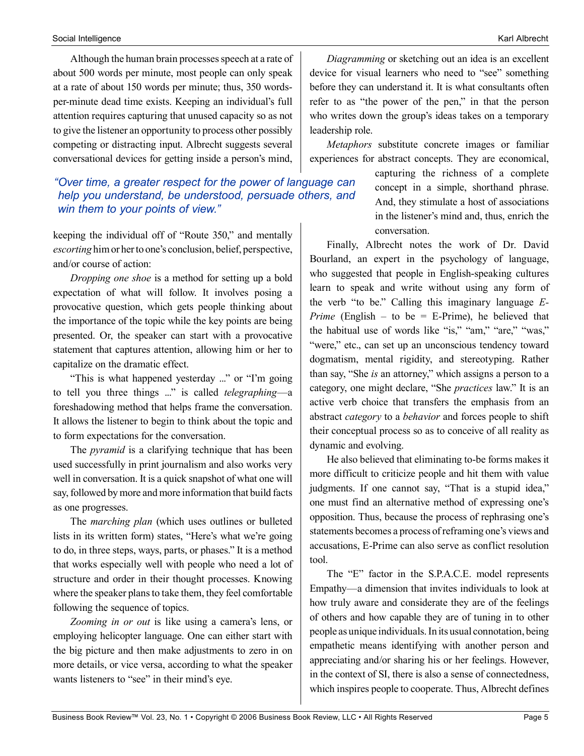Although the human brain processes speech at a rate of about 500 words per minute, most people can only speak at a rate of about 150 words per minute; thus, 350 wordsper-minute dead time exists. Keeping an individual's full attention requires capturing that unused capacity so as not to give the listener an opportunity to process other possibly competing or distracting input. Albrecht suggests several conversational devices for getting inside a person's mind,

## *"Over time, a greater respect for the power of language can help you understand, be understood, persuade others, and win them to your points of view."*

keeping the individual off of "Route 350," and mentally *escorting* him or her to one's conclusion, belief, perspective, and/or course of action:

*Dropping one shoe* is a method for setting up a bold expectation of what will follow. It involves posing a provocative question, which gets people thinking about the importance of the topic while the key points are being presented. Or, the speaker can start with a provocative statement that captures attention, allowing him or her to capitalize on the dramatic effect.

"This is what happened yesterday ..." or "I'm going to tell you three things ..." is called *telegraphing*—a foreshadowing method that helps frame the conversation. It allows the listener to begin to think about the topic and to form expectations for the conversation.

The *pyramid* is a clarifying technique that has been used successfully in print journalism and also works very well in conversation. It is a quick snapshot of what one will say, followed by more and more information that build facts as one progresses.

The *marching plan* (which uses outlines or bulleted lists in its written form) states, "Here's what we're going to do, in three steps, ways, parts, or phases." It is a method that works especially well with people who need a lot of structure and order in their thought processes. Knowing where the speaker plans to take them, they feel comfortable following the sequence of topics.

*Zooming in or out* is like using a camera's lens, or employing helicopter language. One can either start with the big picture and then make adjustments to zero in on more details, or vice versa, according to what the speaker wants listeners to "see" in their mind's eye.

*Diagramming* or sketching out an idea is an excellent device for visual learners who need to "see" something before they can understand it. It is what consultants often refer to as "the power of the pen," in that the person who writes down the group's ideas takes on a temporary leadership role.

*Metaphors* substitute concrete images or familiar experiences for abstract concepts. They are economical,

> capturing the richness of a complete concept in a simple, shorthand phrase. And, they stimulate a host of associations in the listener's mind and, thus, enrich the conversation.

Finally, Albrecht notes the work of Dr. David Bourland, an expert in the psychology of language, who suggested that people in English-speaking cultures learn to speak and write without using any form of the verb "to be." Calling this imaginary language *E-Prime* (English – to be = E-Prime), he believed that the habitual use of words like "is," "am," "are," "was," "were," etc., can set up an unconscious tendency toward dogmatism, mental rigidity, and stereotyping. Rather than say, "She *is* an attorney," which assigns a person to a category, one might declare, "She *practices* law." It is an active verb choice that transfers the emphasis from an abstract *category* to a *behavior* and forces people to shift their conceptual process so as to conceive of all reality as dynamic and evolving.

He also believed that eliminating to-be forms makes it more difficult to criticize people and hit them with value judgments. If one cannot say, "That is a stupid idea," one must find an alternative method of expressing one's opposition. Thus, because the process of rephrasing one's statements becomes a process of reframing one's views and accusations, E-Prime can also serve as conflict resolution tool.

The "E" factor in the S.P.A.C.E. model represents Empathy—a dimension that invites individuals to look at how truly aware and considerate they are of the feelings of others and how capable they are of tuning in to other people as unique individuals. In its usual connotation, being empathetic means identifying with another person and appreciating and/or sharing his or her feelings. However, in the context of SI, there is also a sense of connectedness, which inspires people to cooperate. Thus, Albrecht defines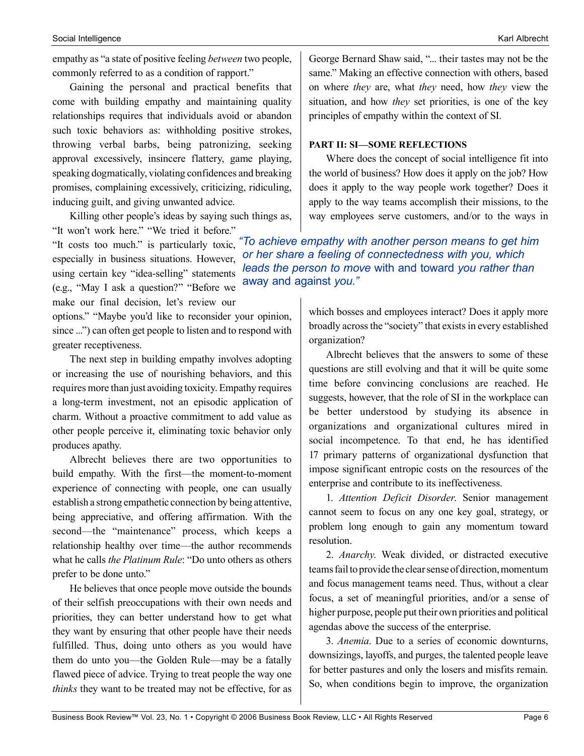empathy as "a state of positive feeling *between* two people, commonly referred to as a condition of rapport."

Gaining the personal and practical benefits that come with building empathy and maintaining quality relationships requires that individuals avoid or abandon such toxic behaviors as: withholding positive strokes, throwing verbal barbs, being patronizing, seeking approval excessively, insincere flattery, game playing, speaking dogmatically, violating confidences and breaking promises, complaining excessively, criticizing, ridiculing, inducing guilt, and giving unwanted advice.

Killing other people's ideas by saying such things as,

"It won't work here." "We tried it before." "It costs too much." is particularly toxic, especially in business situations. However, using certain key "idea-selling" statements (e.g., "May I ask a question?" "Before we make our final decision, let's review our

options." "Maybe you'd like to reconsider your opinion, since ...") can often get people to listen and to respond with greater receptiveness.

The next step in building empathy involves adopting or increasing the use of nourishing behaviors, and this requires more than just avoiding toxicity. Empathy requires a long-term investment, not an episodic application of charm. Without a proactive commitment to add value as other people perceive it, eliminating toxic behavior only produces apathy.

Albrecht believes there are two opportunities to build empathy. With the first—the moment-to-moment experience of connecting with people, one can usually establish a strong empathetic connection by being attentive, being appreciative, and offering affirmation. With the second—the "maintenance" process, which keeps a relationship healthy over time—the author recommends what he calls *the Platinum Rule*: "Do unto others as others prefer to be done unto."

He believes that once people move outside the bounds of their selfish preoccupations with their own needs and priorities, they can better understand how to get what they want by ensuring that other people have their needs fulfilled. Thus, doing unto others as you would have them do unto you—the Golden Rule—may be a fatally flawed piece of advice. Trying to treat people the way one *thinks* they want to be treated may not be effective, for as George Bernard Shaw said, "... their tastes may not be the same." Making an effective connection with others, based on where *they* are, what *they* need, how *they* view the situation, and how *they* set priorities, is one of the key principles of empathy within the context of SI.

#### **PART II: SI—SOME REFLECTIONS**

Where does the concept of social intelligence fit into the world of business? How does it apply on the job? How does it apply to the way people work together? Does it apply to the way teams accomplish their missions, to the way employees serve customers, and/or to the ways in

*"To achieve empathy with another person means to get him or her share a feeling of connectedness with you, which leads the person to move* with and toward *you rather than*  away and against *you."*

> which bosses and employees interact? Does it apply more broadly across the "society" that exists in every established organization?

> Albrecht believes that the answers to some of these questions are still evolving and that it will be quite some time before convincing conclusions are reached. He suggests, however, that the role of SI in the workplace can be better understood by studying its absence in organizations and organizational cultures mired in social incompetence. To that end, he has identified 17 primary patterns of organizational dysfunction that impose significant entropic costs on the resources of the enterprise and contribute to its ineffectiveness.

> 1. *Attention Deficit Disorder*. Senior management cannot seem to focus on any one key goal, strategy, or problem long enough to gain any momentum toward resolution.

> 2. *Anarchy*. Weak divided, or distracted executive teams fail to provide the clear sense of direction, momentum and focus management teams need. Thus, without a clear focus, a set of meaningful priorities, and/or a sense of higher purpose, people put their own priorities and political agendas above the success of the enterprise.

> 3. *Anemia*. Due to a series of economic downturns, downsizings, layoffs, and purges, the talented people leave for better pastures and only the losers and misfits remain. So, when conditions begin to improve, the organization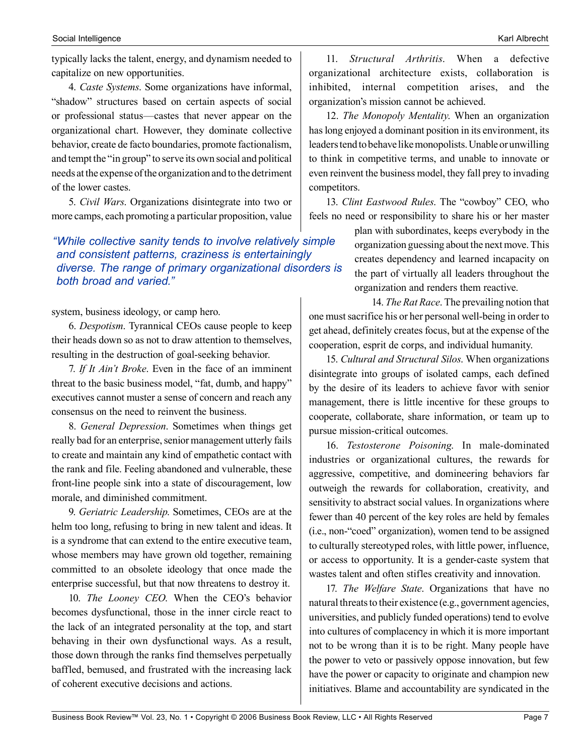typically lacks the talent, energy, and dynamism needed to capitalize on new opportunities.

4. *Caste Systems*. Some organizations have informal, "shadow" structures based on certain aspects of social or professional status—castes that never appear on the organizational chart. However, they dominate collective behavior, create de facto boundaries, promote factionalism, and tempt the "in group" to serve its own social and political needs at the expense of the organization and to the detriment of the lower castes.

5. *Civil Wars*. Organizations disintegrate into two or more camps, each promoting a particular proposition, value

*"While collective sanity tends to involve relatively simple and consistent patterns, craziness is entertainingly diverse. The range of primary organizational disorders is both broad and varied."*

system, business ideology, or camp hero.

6. *Despotism*. Tyrannical CEOs cause people to keep their heads down so as not to draw attention to themselves, resulting in the destruction of goal-seeking behavior.

7. *If It Ain't Broke*. Even in the face of an imminent threat to the basic business model, "fat, dumb, and happy" executives cannot muster a sense of concern and reach any consensus on the need to reinvent the business.

8. *General Depression*. Sometimes when things get really bad for an enterprise, senior management utterly fails to create and maintain any kind of empathetic contact with the rank and file. Feeling abandoned and vulnerable, these front-line people sink into a state of discouragement, low morale, and diminished commitment.

9. *Geriatric Leadership*. Sometimes, CEOs are at the helm too long, refusing to bring in new talent and ideas. It is a syndrome that can extend to the entire executive team, whose members may have grown old together, remaining committed to an obsolete ideology that once made the enterprise successful, but that now threatens to destroy it.

10. *The Looney CEO*. When the CEO's behavior becomes dysfunctional, those in the inner circle react to the lack of an integrated personality at the top, and start behaving in their own dysfunctional ways. As a result, those down through the ranks find themselves perpetually baffled, bemused, and frustrated with the increasing lack of coherent executive decisions and actions.

11. *Structural Arthritis*. When a defective organizational architecture exists, collaboration is inhibited, internal competition arises, and the organization's mission cannot be achieved.

12. *The Monopoly Mentality*. When an organization has long enjoyed a dominant position in its environment, its leaders tend to behave like monopolists. Unable or unwilling to think in competitive terms, and unable to innovate or even reinvent the business model, they fall prey to invading competitors.

13. *Clint Eastwood Rules*. The "cowboy" CEO, who feels no need or responsibility to share his or her master

> plan with subordinates, keeps everybody in the organization guessing about the next move. This creates dependency and learned incapacity on the part of virtually all leaders throughout the organization and renders them reactive.

14. *The Rat Race*. The prevailing notion that one must sacrifice his or her personal well-being in order to get ahead, definitely creates focus, but at the expense of the cooperation, esprit de corps, and individual humanity.

15. *Cultural and Structural Silos*. When organizations disintegrate into groups of isolated camps, each defined by the desire of its leaders to achieve favor with senior management, there is little incentive for these groups to cooperate, collaborate, share information, or team up to pursue mission-critical outcomes.

16. *Testosterone Poisoning*. In male-dominated industries or organizational cultures, the rewards for aggressive, competitive, and domineering behaviors far outweigh the rewards for collaboration, creativity, and sensitivity to abstract social values. In organizations where fewer than 40 percent of the key roles are held by females (i.e., non-"coed" organization), women tend to be assigned to culturally stereotyped roles, with little power, influence, or access to opportunity. It is a gender-caste system that wastes talent and often stifles creativity and innovation.

17. *The Welfare State*. Organizations that have no natural threats to their existence (e.g., government agencies, universities, and publicly funded operations) tend to evolve into cultures of complacency in which it is more important not to be wrong than it is to be right. Many people have the power to veto or passively oppose innovation, but few have the power or capacity to originate and champion new initiatives. Blame and accountability are syndicated in the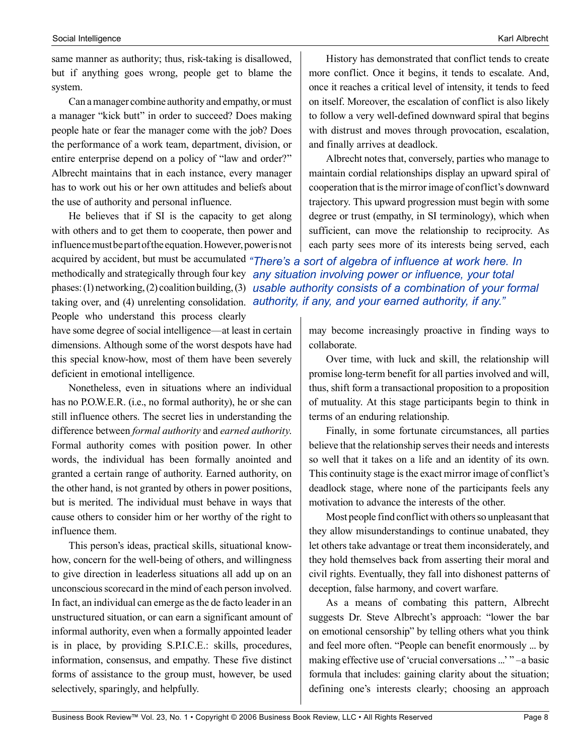same manner as authority; thus, risk-taking is disallowed, but if anything goes wrong, people get to blame the system.

Can a manager combine authority and empathy, or must a manager "kick butt" in order to succeed? Does making people hate or fear the manager come with the job? Does the performance of a work team, department, division, or entire enterprise depend on a policy of "law and order?" Albrecht maintains that in each instance, every manager has to work out his or her own attitudes and beliefs about the use of authority and personal influence.

He believes that if SI is the capacity to get along with others and to get them to cooperate, then power and influence must be part of the equation. However, power is not

History has demonstrated that conflict tends to create more conflict. Once it begins, it tends to escalate. And, once it reaches a critical level of intensity, it tends to feed on itself. Moreover, the escalation of conflict is also likely to follow a very well-defined downward spiral that begins with distrust and moves through provocation, escalation, and finally arrives at deadlock.

Albrecht notes that, conversely, parties who manage to maintain cordial relationships display an upward spiral of cooperation that is the mirror image of conflict's downward trajectory. This upward progression must begin with some degree or trust (empathy, in SI terminology), which when sufficient, can move the relationship to reciprocity. As each party sees more of its interests being served, each

acquired by accident, but must be accumulated *"There's a sort of algebra of influence at work here. In*  methodically and strategically through four key *any situation involving power or influence, your total*  phases: (1) networking, (2) coalition building, (3) usable authority consists of a combination of your formal taking over, and (4) unrelenting consolidation. *authority, if any, and your earned authority, if any.*"

People who understand this process clearly

have some degree of social intelligence—at least in certain dimensions. Although some of the worst despots have had this special know-how, most of them have been severely deficient in emotional intelligence.

Nonetheless, even in situations where an individual has no P.O.W.E.R. (i.e., no formal authority), he or she can still influence others. The secret lies in understanding the difference between *formal authority* and *earned authority*. Formal authority comes with position power. In other words, the individual has been formally anointed and granted a certain range of authority. Earned authority, on the other hand, is not granted by others in power positions, but is merited. The individual must behave in ways that cause others to consider him or her worthy of the right to influence them.

This person's ideas, practical skills, situational knowhow, concern for the well-being of others, and willingness to give direction in leaderless situations all add up on an unconscious scorecard in the mind of each person involved. In fact, an individual can emerge as the de facto leader in an unstructured situation, or can earn a significant amount of informal authority, even when a formally appointed leader is in place, by providing S.P.I.C.E.: skills, procedures, information, consensus, and empathy. These five distinct forms of assistance to the group must, however, be used selectively, sparingly, and helpfully.

may become increasingly proactive in finding ways to collaborate.

Over time, with luck and skill, the relationship will promise long-term benefit for all parties involved and will, thus, shift form a transactional proposition to a proposition of mutuality. At this stage participants begin to think in terms of an enduring relationship.

Finally, in some fortunate circumstances, all parties believe that the relationship serves their needs and interests so well that it takes on a life and an identity of its own. This continuity stage is the exact mirror image of conflict's deadlock stage, where none of the participants feels any motivation to advance the interests of the other.

Most people find conflict with others so unpleasant that they allow misunderstandings to continue unabated, they let others take advantage or treat them inconsiderately, and they hold themselves back from asserting their moral and civil rights. Eventually, they fall into dishonest patterns of deception, false harmony, and covert warfare.

As a means of combating this pattern, Albrecht suggests Dr. Steve Albrecht's approach: "lower the bar on emotional censorship" by telling others what you think and feel more often. "People can benefit enormously ... by making effective use of 'crucial conversations ...' " –a basic formula that includes: gaining clarity about the situation; defining one's interests clearly; choosing an approach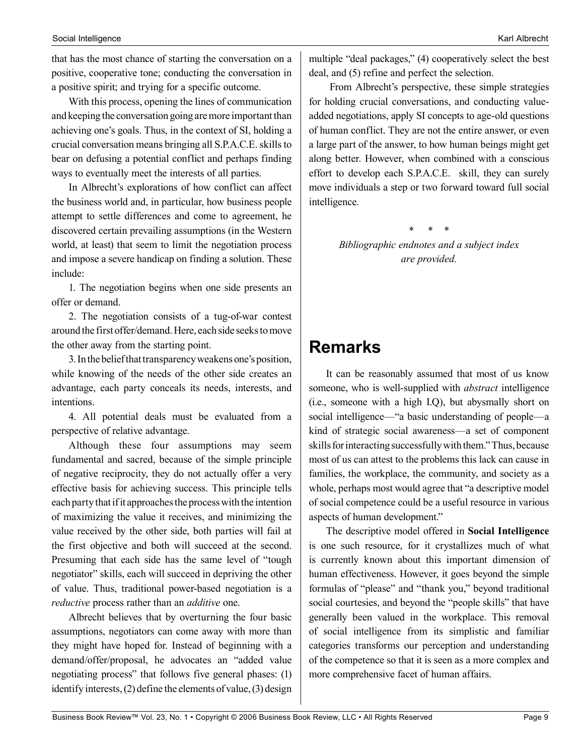that has the most chance of starting the conversation on a positive, cooperative tone; conducting the conversation in a positive spirit; and trying for a specific outcome.

With this process, opening the lines of communication and keeping the conversation going are more important than achieving one's goals. Thus, in the context of SI, holding a crucial conversation means bringing all S.P.A.C.E. skills to bear on defusing a potential conflict and perhaps finding ways to eventually meet the interests of all parties.

In Albrecht's explorations of how conflict can affect the business world and, in particular, how business people attempt to settle differences and come to agreement, he discovered certain prevailing assumptions (in the Western world, at least) that seem to limit the negotiation process and impose a severe handicap on finding a solution. These include:

1. The negotiation begins when one side presents an offer or demand.

2. The negotiation consists of a tug-of-war contest around the first offer/demand. Here, each side seeks to move the other away from the starting point.

3. In the belief that transparency weakens one's position, while knowing of the needs of the other side creates an advantage, each party conceals its needs, interests, and intentions.

4. All potential deals must be evaluated from a perspective of relative advantage.

Although these four assumptions may seem fundamental and sacred, because of the simple principle of negative reciprocity, they do not actually offer a very effective basis for achieving success. This principle tells each party that if it approaches the process with the intention of maximizing the value it receives, and minimizing the value received by the other side, both parties will fail at the first objective and both will succeed at the second. Presuming that each side has the same level of "tough negotiator" skills, each will succeed in depriving the other of value. Thus, traditional power-based negotiation is a *reductive* process rather than an *additive* one.

Albrecht believes that by overturning the four basic assumptions, negotiators can come away with more than they might have hoped for. Instead of beginning with a demand/offer/proposal, he advocates an "added value negotiating process" that follows five general phases: (1) identify interests, (2) define the elements of value, (3) design

multiple "deal packages," (4) cooperatively select the best deal, and (5) refine and perfect the selection.

 From Albrecht's perspective, these simple strategies for holding crucial conversations, and conducting valueadded negotiations, apply SI concepts to age-old questions of human conflict. They are not the entire answer, or even a large part of the answer, to how human beings might get along better. However, when combined with a conscious effort to develop each S.P.A.C.E. skill, they can surely move individuals a step or two forward toward full social intelligence.

> \* \* \* *Bibliographic endnotes and a subject index are provided.*

# **Remarks**

It can be reasonably assumed that most of us know someone, who is well-supplied with *abstract* intelligence (i.e., someone with a high I.Q), but abysmally short on social intelligence—"a basic understanding of people—a kind of strategic social awareness—a set of component skills for interacting successfully with them." Thus, because most of us can attest to the problems this lack can cause in families, the workplace, the community, and society as a whole, perhaps most would agree that "a descriptive model of social competence could be a useful resource in various aspects of human development."

The descriptive model offered in **Social Intelligence** is one such resource, for it crystallizes much of what is currently known about this important dimension of human effectiveness. However, it goes beyond the simple formulas of "please" and "thank you," beyond traditional social courtesies, and beyond the "people skills" that have generally been valued in the workplace. This removal of social intelligence from its simplistic and familiar categories transforms our perception and understanding of the competence so that it is seen as a more complex and more comprehensive facet of human affairs.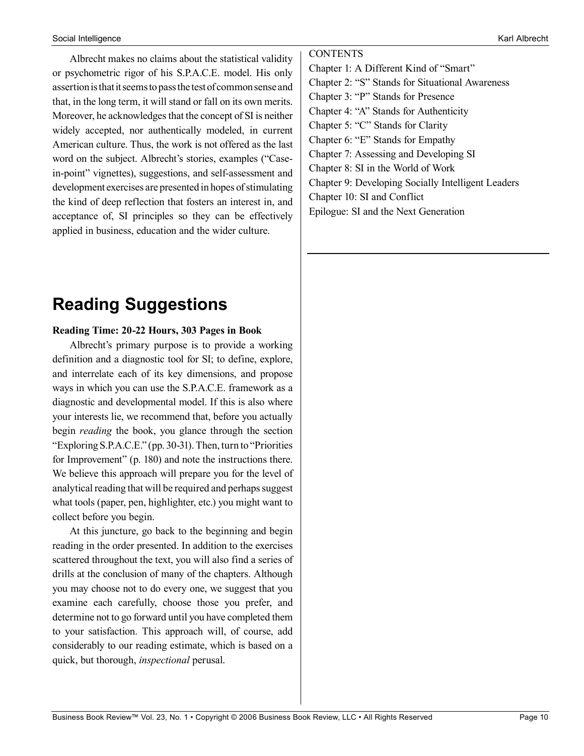Albrecht makes no claims about the statistical validity or psychometric rigor of his S.P.A.C.E. model. His only assertion is that it seems to pass the test of common sense and that, in the long term, it will stand or fall on its own merits. Moreover, he acknowledges that the concept of SI is neither widely accepted, nor authentically modeled, in current American culture. Thus, the work is not offered as the last word on the subject. Albrecht's stories, examples ("Casein-point" vignettes), suggestions, and self-assessment and development exercises are presented in hopes of stimulating the kind of deep reflection that fosters an interest in, and acceptance of, SI principles so they can be effectively applied in business, education and the wider culture.

# **Reading Suggestions**

## **Reading Time: 20-22 Hours, 303 Pages in Book**

Albrecht's primary purpose is to provide a working definition and a diagnostic tool for SI; to define, explore, and interrelate each of its key dimensions, and propose ways in which you can use the S.P.A.C.E. framework as a diagnostic and developmental model. If this is also where your interests lie, we recommend that, before you actually begin *reading* the book, you glance through the section "Exploring S.P.A.C.E." (pp. 30-31). Then, turn to "Priorities for Improvement" (p. 180) and note the instructions there. We believe this approach will prepare you for the level of analytical reading that will be required and perhaps suggest what tools (paper, pen, highlighter, etc.) you might want to collect before you begin.

At this juncture, go back to the beginning and begin reading in the order presented. In addition to the exercises scattered throughout the text, you will also find a series of drills at the conclusion of many of the chapters. Although you may choose not to do every one, we suggest that you examine each carefully, choose those you prefer, and determine not to go forward until you have completed them to your satisfaction. This approach will, of course, add considerably to our reading estimate, which is based on a quick, but thorough, *inspectional* perusal.

**CONTENTS** Chapter 1: A Different Kind of "Smart" Chapter 2: "S" Stands for Situational Awareness Chapter 3: "P" Stands for Presence Chapter 4: "A" Stands for Authenticity Chapter 5: "C" Stands for Clarity Chapter 6: "E" Stands for Empathy Chapter 7: Assessing and Developing SI Chapter 8: SI in the World of Work Chapter 9: Developing Socially Intelligent Leaders Chapter 10: SI and Conflict Epilogue: SI and the Next Generation